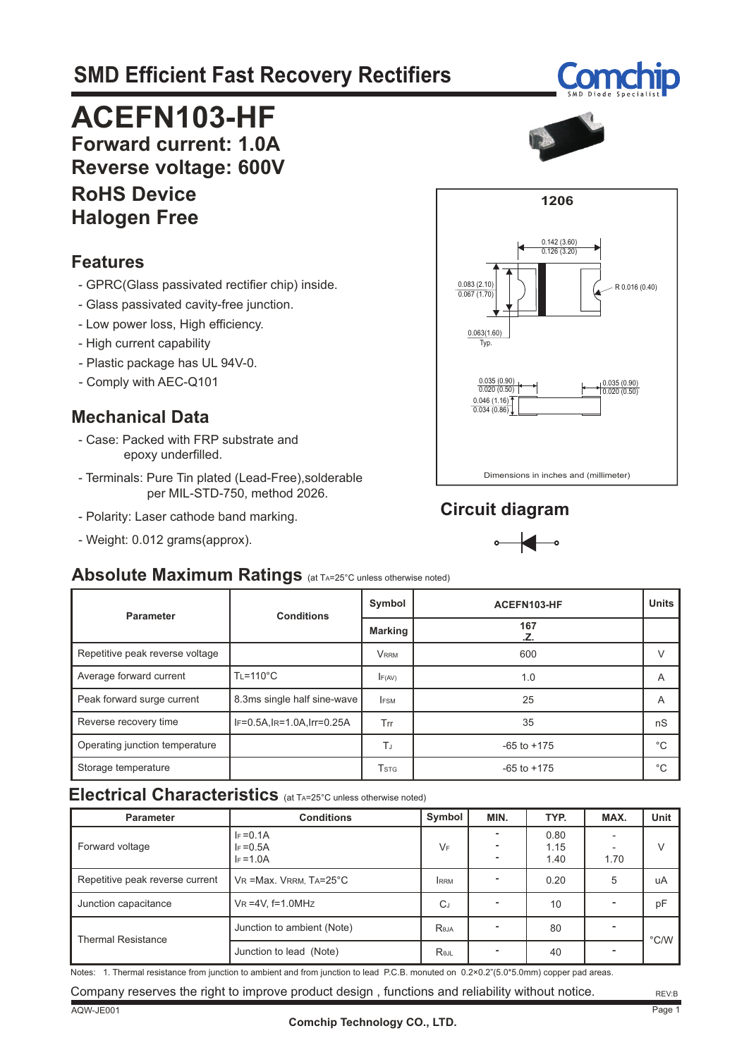# **SMD Efficient Fast Recovery Rectifiers**



# **ACEFN103-HF**

**Forward current: 1.0A Reverse voltage: 600V**

#### **RoHS Device Halogen Free**

#### **Features**

- GPRC(Glass passivated rectifier chip) inside.
- Glass passivated cavity-free junction.
- Low power loss, High efficiency.
- High current capability
- Plastic package has UL 94V-0.
- Comply with AEC-Q101

### **Mechanical Data**

- Case: Packed with FRP substrate and epoxy underfilled.
- Terminals: Pure Tin plated (Lead-Free),solderable per MIL-STD-750, method 2026.
- Polarity: Laser cathode band marking.
- Weight: 0.012 grams(approx).



### **Circuit diagram**



#### **Absolute Maximum Ratings** (at TA=25°C unless otherwise noted)

| Parameter                       | <b>Conditions</b>           | Symbol         | ACEFN103-HF     | <b>Units</b> |
|---------------------------------|-----------------------------|----------------|-----------------|--------------|
|                                 |                             | <b>Marking</b> | 167<br>.Z.      |              |
| Repetitive peak reverse voltage |                             | <b>VRRM</b>    | 600             | $\vee$       |
| Average forward current         | $T = 110^{\circ}C$          | F(AV)          | 1.0             | A            |
| Peak forward surge current      | 8.3ms single half sine-wave | <b>IFSM</b>    | 25              | A            |
| Reverse recovery time           | IF=0.5A, IR=1.0A, Irr=0.25A | Trr            | 35              | nS           |
| Operating junction temperature  |                             | TJ             | $-65$ to $+175$ | $^{\circ}C$  |
| Storage temperature             |                             | Tstg           | $-65$ to $+175$ | $^{\circ}C$  |

#### **Electrical Characteristics** (at TA=25°C unless otherwise noted)

| <b>Parameter</b>                | <b>Conditions</b>                            | Symbol     | MIN. | TYP.                 | MAX. | Unit          |
|---------------------------------|----------------------------------------------|------------|------|----------------------|------|---------------|
| Forward voltage                 | $I_F = 0.1A$<br>$I_F = 0.5A$<br>$I_F = 1.0A$ | $V_F$      |      | 0.80<br>1.15<br>1.40 | 1.70 | $\vee$        |
| Repetitive peak reverse current | $V_R$ = Max. VRRM, $Ta=25^{\circ}C$          | <b>RRM</b> |      | 0.20                 | 5    | uA            |
| Junction capacitance            | $VR = 4V$ , f=1.0MHz                         | CJ         |      | 10                   |      | pF            |
| <b>Thermal Resistance</b>       | Junction to ambient (Note)                   | Reja       |      | 80                   |      | $\degree$ C/W |
|                                 | Junction to lead (Note)                      | Rejl       |      | 40                   |      |               |

Notes: 1. Thermal resistance from junction to ambient and from junction to lead P.C.B. monuted on 0.2×0.2"(5.0\*5.0mm) copper pad areas.

Company reserves the right to improve product design , functions and reliability without notice.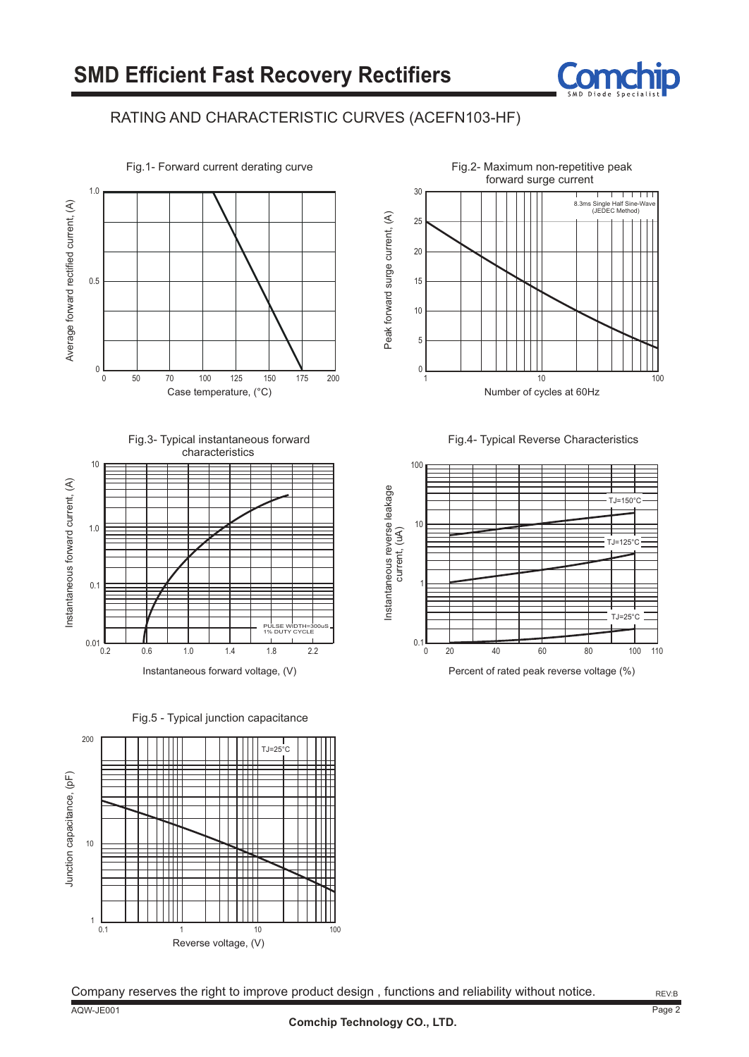

#### RATING AND CHARACTERISTIC CURVES (ACEFN103-HF)









Instantaneous forward voltage, (V)

Fig.5 - Typical junction capacitance









Percent of rated peak reverse voltage (%)

Company reserves the right to improve product design , functions and reliability without notice.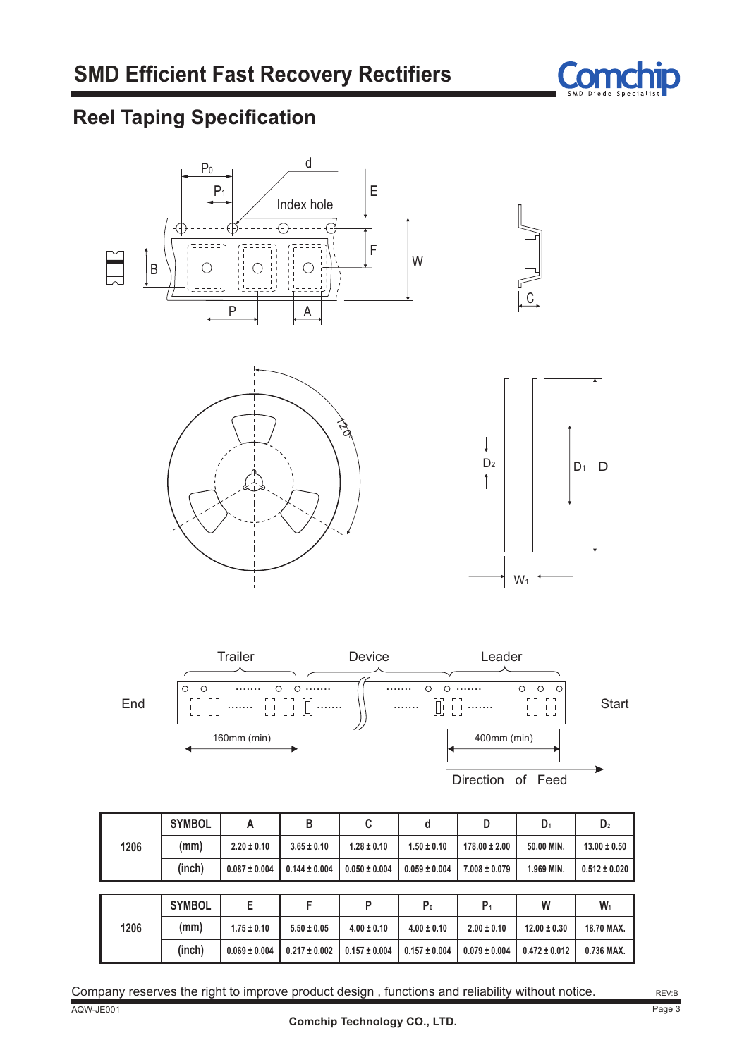

### **Reel Taping Specification**







|      | <b>SYMBOL</b> | Α                 | B                 | C                 | d                 | D                 | $D_1$            | D <sub>2</sub>    |
|------|---------------|-------------------|-------------------|-------------------|-------------------|-------------------|------------------|-------------------|
| 1206 | (mm)          | $2.20 \pm 0.10$   | $3.65 \pm 0.10$   | $1.28 \pm 0.10$   | $1.50 \pm 0.10$   | $178.00 \pm 2.00$ | 50.00 MIN.       | $13.00 \pm 0.50$  |
|      | (inch)        | $0.087 \pm 0.004$ | $0.144 \pm 0.004$ | $0.050 \pm 0.004$ | $0.059 \pm 0.004$ | $7.008 \pm 0.079$ | 1.969 MIN.       | $0.512 \pm 0.020$ |
|      |               |                   |                   |                   |                   |                   |                  |                   |
|      | <b>SYMBOL</b> | E                 |                   | P                 | P <sub>0</sub>    | $P_1$             | W                | $W_1$             |
| 1206 | (mm)          | $1.75 \pm 0.10$   | $5.50 \pm 0.05$   | $4.00 \pm 0.10$   | $4.00 \pm 0.10$   | $2.00 \pm 0.10$   | $12.00 \pm 0.30$ | 18.70 MAX.        |
|      |               |                   |                   |                   |                   |                   |                  |                   |

AQW-JE001 Company reserves the right to improve product design , functions and reliability without notice.